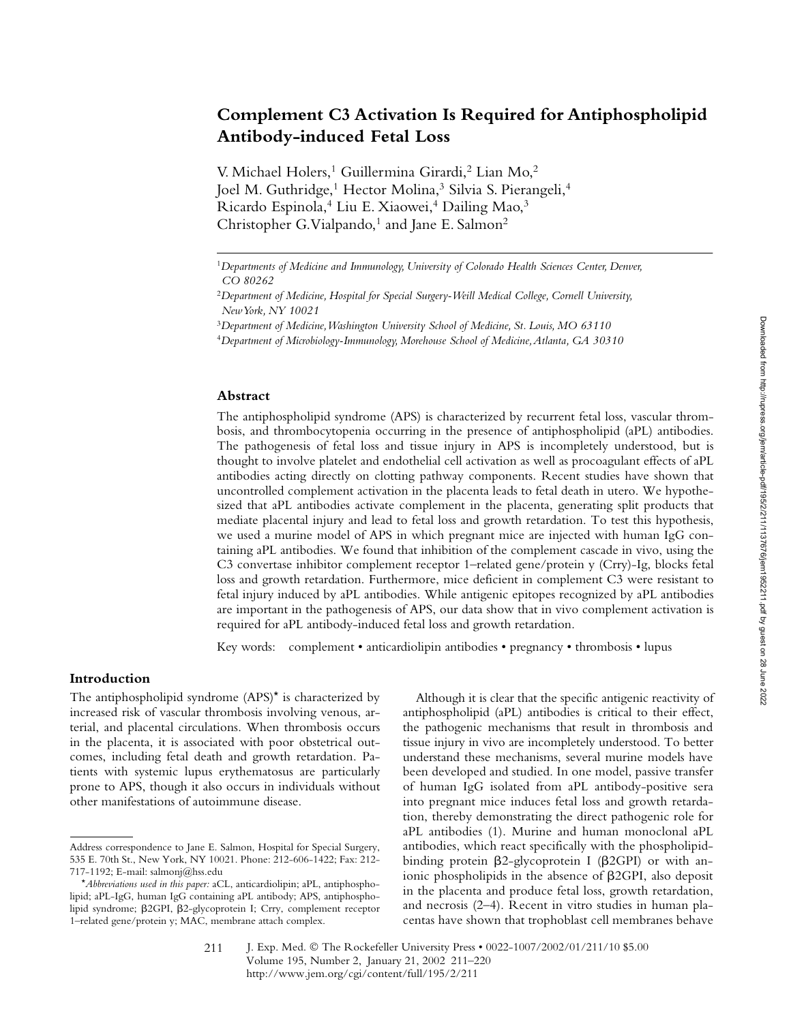# **Complement C3 Activation Is Required for Antiphospholipid Antibody-induced Fetal Loss**

V. Michael Holers,<sup>1</sup> Guillermina Girardi,<sup>2</sup> Lian Mo,<sup>2</sup> Joel M. Guthridge,<sup>1</sup> Hector Molina,<sup>3</sup> Silvia S. Pierangeli,<sup>4</sup> Ricardo Espinola,<sup>4</sup> Liu E. Xiaowei,<sup>4</sup> Dailing Mao,<sup>3</sup> Christopher G. Vialpando, $1$  and Jane E. Salmon<sup>2</sup>

#### **Abstract**

The antiphospholipid syndrome (APS) is characterized by recurrent fetal loss, vascular thrombosis, and thrombocytopenia occurring in the presence of antiphospholipid (aPL) antibodies. The pathogenesis of fetal loss and tissue injury in APS is incompletely understood, but is thought to involve platelet and endothelial cell activation as well as procoagulant effects of aPL antibodies acting directly on clotting pathway components. Recent studies have shown that uncontrolled complement activation in the placenta leads to fetal death in utero. We hypothesized that aPL antibodies activate complement in the placenta, generating split products that mediate placental injury and lead to fetal loss and growth retardation. To test this hypothesis, we used a murine model of APS in which pregnant mice are injected with human IgG containing aPL antibodies. We found that inhibition of the complement cascade in vivo, using the C3 convertase inhibitor complement receptor 1–related gene/protein y (Crry)-Ig, blocks fetal loss and growth retardation. Furthermore, mice deficient in complement C3 were resistant to fetal injury induced by aPL antibodies. While antigenic epitopes recognized by aPL antibodies are important in the pathogenesis of APS, our data show that in vivo complement activation is required for aPL antibody-induced fetal loss and growth retardation.

Key words: complement • anticardiolipin antibodies • pregnancy • thrombosis • lupus

#### **Introduction**

The antiphospholipid syndrome (APS)\* is characterized by increased risk of vascular thrombosis involving venous, arterial, and placental circulations. When thrombosis occurs in the placenta, it is associated with poor obstetrical outcomes, including fetal death and growth retardation. Patients with systemic lupus erythematosus are particularly prone to APS, though it also occurs in individuals without other manifestations of autoimmune disease.

Although it is clear that the specific antigenic reactivity of antiphospholipid (aPL) antibodies is critical to their effect, the pathogenic mechanisms that result in thrombosis and tissue injury in vivo are incompletely understood. To better understand these mechanisms, several murine models have been developed and studied. In one model, passive transfer of human IgG isolated from aPL antibody-positive sera into pregnant mice induces fetal loss and growth retardation, thereby demonstrating the direct pathogenic role for aPL antibodies (1). Murine and human monoclonal aPL antibodies, which react specifically with the phospholipidbinding protein  $\beta$ 2-glycoprotein I ( $\beta$ 2GPI) or with anionic phospholipids in the absence of  $\beta$ 2GPI, also deposit in the placenta and produce fetal loss, growth retardation, and necrosis (2–4). Recent in vitro studies in human placentas have shown that trophoblast cell membranes behave

<sup>1</sup>*Departments of Medicine and Immunology, University of Colorado Health Sciences Center, Denver, CO 80262*

<sup>2</sup>*Department of Medicine, Hospital for Special Surgery-Weill Medical College, Cornell University, New York, NY 10021*

<sup>3</sup>*Department of Medicine, Washington University School of Medicine, St. Louis, MO 63110*

<sup>4</sup>*Department of Microbiology-Immunology, Morehouse School of Medicine, Atlanta, GA 30310*

Address correspondence to Jane E. Salmon, Hospital for Special Surgery, 535 E. 70th St., New York, NY 10021. Phone: 212-606-1422; Fax: 212- 717-1192; E-mail: salmonj@hss.edu

<sup>\*</sup>*Abbreviations used in this paper:* aCL, anticardiolipin; aPL, antiphospholipid; aPL-IgG, human IgG containing aPL antibody; APS, antiphospholipid syndrome;  $\beta$ 2GPI,  $\beta$ 2-glycoprotein I; Crry, complement receptor 1–related gene/protein y; MAC, membrane attach complex.

J. Exp. Med. © The Rockefeller University Press • 0022-1007/2002/01/211/10 \$5.00 Volume 195, Number 2, January 21, 2002 211–220 http://www.jem.org/cgi/content/full/195/2/211 211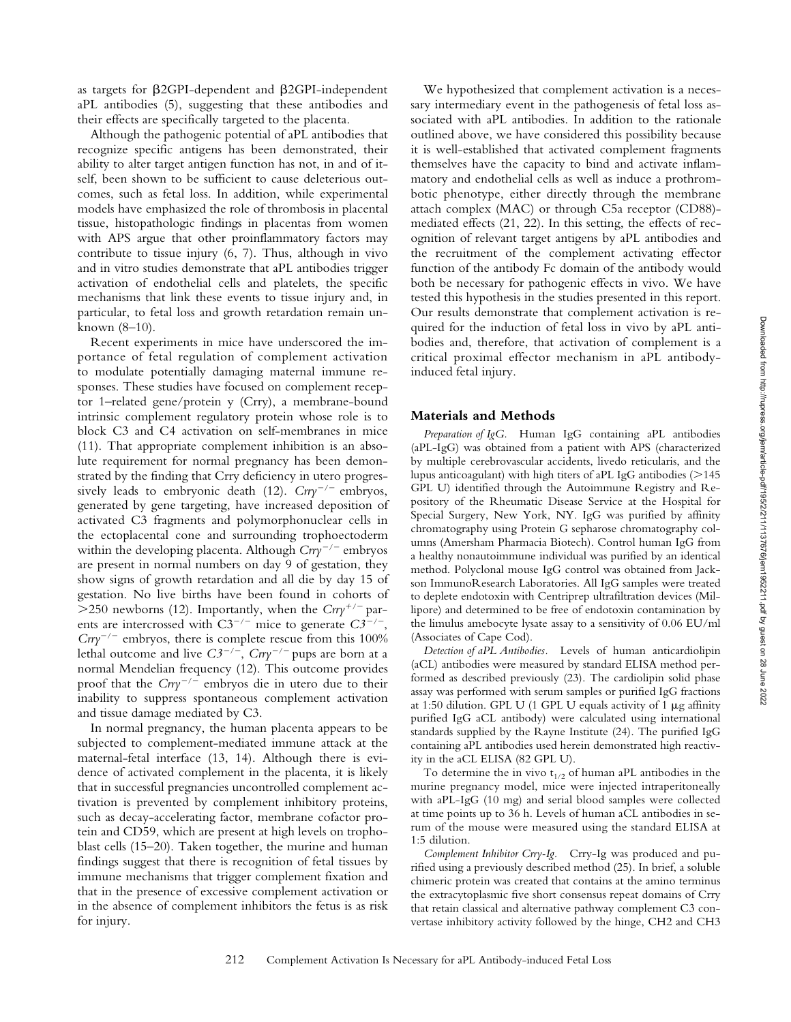as targets for  $\beta$ 2GPI-dependent and  $\beta$ 2GPI-independent aPL antibodies (5), suggesting that these antibodies and their effects are specifically targeted to the placenta.

Although the pathogenic potential of aPL antibodies that recognize specific antigens has been demonstrated, their ability to alter target antigen function has not, in and of itself, been shown to be sufficient to cause deleterious outcomes, such as fetal loss. In addition, while experimental models have emphasized the role of thrombosis in placental tissue, histopathologic findings in placentas from women with APS argue that other proinflammatory factors may contribute to tissue injury (6, 7). Thus, although in vivo and in vitro studies demonstrate that aPL antibodies trigger activation of endothelial cells and platelets, the specific mechanisms that link these events to tissue injury and, in particular, to fetal loss and growth retardation remain unknown (8–10).

Recent experiments in mice have underscored the importance of fetal regulation of complement activation to modulate potentially damaging maternal immune responses. These studies have focused on complement receptor 1–related gene/protein y (Crry), a membrane-bound intrinsic complement regulatory protein whose role is to block C3 and C4 activation on self-membranes in mice (11). That appropriate complement inhibition is an absolute requirement for normal pregnancy has been demonstrated by the finding that Crry deficiency in utero progressively leads to embryonic death (12).  $Crry^{-/-}$  embryos, generated by gene targeting, have increased deposition of activated C3 fragments and polymorphonuclear cells in the ectoplacental cone and surrounding trophoectoderm within the developing placenta. Although  $Crry^{-/-}$  embryos are present in normal numbers on day 9 of gestation, they show signs of growth retardation and all die by day 15 of gestation. No live births have been found in cohorts of  $>$ 250 newborns (12). Importantly, when the *Crry<sup>+/-</sup>* parents are intercrossed with  $C3^{-/-}$  mice to generate  $C3^{-/-}$ ,  $Crry^{-/-}$  embryos, there is complete rescue from this 100% lethal outcome and live  $C3^{-/-}$ ,  $Crry^{-/-}$  pups are born at a normal Mendelian frequency (12). This outcome provides proof that the  $Crry^{-/-}$  embryos die in utero due to their inability to suppress spontaneous complement activation and tissue damage mediated by C3.

In normal pregnancy, the human placenta appears to be subjected to complement-mediated immune attack at the maternal-fetal interface (13, 14). Although there is evidence of activated complement in the placenta, it is likely that in successful pregnancies uncontrolled complement activation is prevented by complement inhibitory proteins, such as decay-accelerating factor, membrane cofactor protein and CD59, which are present at high levels on trophoblast cells (15–20). Taken together, the murine and human findings suggest that there is recognition of fetal tissues by immune mechanisms that trigger complement fixation and that in the presence of excessive complement activation or in the absence of complement inhibitors the fetus is as risk for injury.

We hypothesized that complement activation is a necessary intermediary event in the pathogenesis of fetal loss associated with aPL antibodies. In addition to the rationale outlined above, we have considered this possibility because it is well-established that activated complement fragments themselves have the capacity to bind and activate inflammatory and endothelial cells as well as induce a prothrombotic phenotype, either directly through the membrane attach complex (MAC) or through C5a receptor (CD88) mediated effects (21, 22). In this setting, the effects of recognition of relevant target antigens by aPL antibodies and the recruitment of the complement activating effector function of the antibody Fc domain of the antibody would both be necessary for pathogenic effects in vivo. We have tested this hypothesis in the studies presented in this report. Our results demonstrate that complement activation is required for the induction of fetal loss in vivo by aPL antibodies and, therefore, that activation of complement is a critical proximal effector mechanism in aPL antibodyinduced fetal injury.

#### **Materials and Methods**

*Preparation of IgG.* Human IgG containing aPL antibodies (aPL-IgG) was obtained from a patient with APS (characterized by multiple cerebrovascular accidents, livedo reticularis, and the lupus anticoagulant) with high titers of aPL IgG antibodies  $(>145)$ GPL U) identified through the Autoimmune Registry and Repository of the Rheumatic Disease Service at the Hospital for Special Surgery, New York, NY. IgG was purified by affinity chromatography using Protein G sepharose chromatography columns (Amersham Pharmacia Biotech). Control human IgG from a healthy nonautoimmune individual was purified by an identical method. Polyclonal mouse IgG control was obtained from Jackson ImmunoResearch Laboratories. All IgG samples were treated to deplete endotoxin with Centriprep ultrafiltration devices (Millipore) and determined to be free of endotoxin contamination by the limulus amebocyte lysate assay to a sensitivity of 0.06 EU/ml (Associates of Cape Cod).

*Detection of aPL Antibodies.* Levels of human anticardiolipin (aCL) antibodies were measured by standard ELISA method performed as described previously (23). The cardiolipin solid phase assay was performed with serum samples or purified IgG fractions at 1:50 dilution. GPL U (1 GPL U equals activity of 1  $\mu$ g affinity purified IgG aCL antibody) were calculated using international standards supplied by the Rayne Institute (24). The purified IgG containing aPL antibodies used herein demonstrated high reactivity in the aCL ELISA (82 GPL U).

To determine the in vivo  $t_{1/2}$  of human aPL antibodies in the murine pregnancy model, mice were injected intraperitoneally with aPL-IgG (10 mg) and serial blood samples were collected at time points up to 36 h. Levels of human aCL antibodies in serum of the mouse were measured using the standard ELISA at 1:5 dilution.

*Complement Inhibitor Crry-Ig.* Crry-Ig was produced and purified using a previously described method (25). In brief, a soluble chimeric protein was created that contains at the amino terminus the extracytoplasmic five short consensus repeat domains of Crry that retain classical and alternative pathway complement C3 convertase inhibitory activity followed by the hinge, CH2 and CH3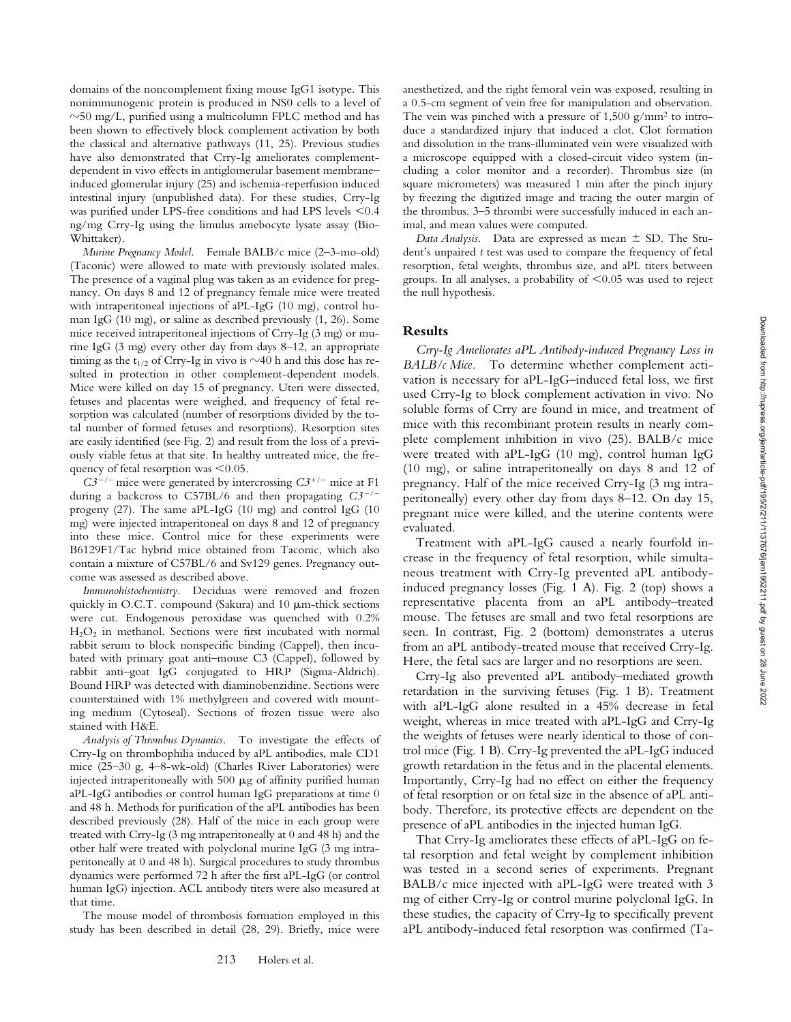domains of the noncomplement fixing mouse IgG1 isotype. This nonimmunogenic protein is produced in NS0 cells to a level of  $\sim$ 50 mg/L, purified using a multicolumn FPLC method and has been shown to effectively block complement activation by both the classical and alternative pathways (11, 25). Previous studies have also demonstrated that Crry-Ig ameliorates complementdependent in vivo effects in antiglomerular basement membrane– induced glomerular injury (25) and ischemia-reperfusion induced intestinal injury (unpublished data). For these studies, Crry-Ig was purified under LPS-free conditions and had LPS levels  $\leq 0.4$ ng/mg Crry-Ig using the limulus amebocyte lysate assay (Bio-Whittaker).

*Murine Pregnancy Model.* Female BALB/c mice (2–3-mo-old) (Taconic) were allowed to mate with previously isolated males. The presence of a vaginal plug was taken as an evidence for pregnancy. On days 8 and 12 of pregnancy female mice were treated with intraperitoneal injections of aPL-IgG (10 mg), control human IgG (10 mg), or saline as described previously (1, 26). Some mice received intraperitoneal injections of Crry-Ig (3 mg) or murine IgG (3 mg) every other day from days 8–12, an appropriate timing as the  $t_{1/2}$  of Crry-Ig in vivo is  $\sim$ 40 h and this dose has resulted in protection in other complement-dependent models. Mice were killed on day 15 of pregnancy. Uteri were dissected, fetuses and placentas were weighed, and frequency of fetal resorption was calculated (number of resorptions divided by the total number of formed fetuses and resorptions). Resorption sites are easily identified (see Fig. 2) and result from the loss of a previously viable fetus at that site. In healthy untreated mice, the frequency of fetal resorption was  $\leq 0.05$ .

 $C3^{-/-}$  mice were generated by intercrossing  $C3^{+/-}$  mice at F1 during a backcross to C57BL/6 and then propagating *C3/* progeny (27). The same aPL-IgG (10 mg) and control IgG (10 mg) were injected intraperitoneal on days 8 and 12 of pregnancy into these mice. Control mice for these experiments were B6129F1/Tac hybrid mice obtained from Taconic, which also contain a mixture of C57BL/6 and Sv129 genes. Pregnancy outcome was assessed as described above.

*Immunohistochemistry.* Deciduas were removed and frozen quickly in O.C.T. compound (Sakura) and  $10 \mu$ m-thick sections were cut. Endogenous peroxidase was quenched with 0.2%  $H<sub>2</sub>O<sub>2</sub>$  in methanol. Sections were first incubated with normal rabbit serum to block nonspecific binding (Cappel), then incubated with primary goat anti–mouse C3 (Cappel), followed by rabbit anti–goat IgG conjugated to HRP (Sigma-Aldrich). Bound HRP was detected with diaminobenzidine. Sections were counterstained with 1% methylgreen and covered with mounting medium (Cytoseal). Sections of frozen tissue were also stained with H&E.

*Analysis of Thrombus Dynamics.* To investigate the effects of Crry-Ig on thrombophilia induced by aPL antibodies, male CD1 mice (25–30 g, 4–8-wk-old) (Charles River Laboratories) were injected intraperitoneally with  $500 \mu g$  of affinity purified human aPL-IgG antibodies or control human IgG preparations at time 0 and 48 h. Methods for purification of the aPL antibodies has been described previously (28). Half of the mice in each group were treated with Crry-Ig (3 mg intraperitoneally at 0 and 48 h) and the other half were treated with polyclonal murine IgG (3 mg intraperitoneally at 0 and 48 h). Surgical procedures to study thrombus dynamics were performed 72 h after the first aPL-IgG (or control human IgG) injection. ACL antibody titers were also measured at that time.

The mouse model of thrombosis formation employed in this study has been described in detail (28, 29). Briefly, mice were anesthetized, and the right femoral vein was exposed, resulting in a 0.5-cm segment of vein free for manipulation and observation. The vein was pinched with a pressure of  $1,500$  g/mm<sup>2</sup> to introduce a standardized injury that induced a clot. Clot formation and dissolution in the trans-illuminated vein were visualized with a microscope equipped with a closed-circuit video system (including a color monitor and a recorder). Thrombus size (in square micrometers) was measured 1 min after the pinch injury by freezing the digitized image and tracing the outer margin of the thrombus. 3–5 thrombi were successfully induced in each animal, and mean values were computed.

*Data Analysis.* Data are expressed as mean  $\pm$  SD. The Student's unpaired *t* test was used to compare the frequency of fetal resorption, fetal weights, thrombus size, and aPL titers between groups. In all analyses, a probability of  $\leq 0.05$  was used to reject the null hypothesis.

## **Results**

*Crry-Ig Ameliorates aPL Antibody-induced Pregnancy Loss in BALB/c Mice.* To determine whether complement activation is necessary for aPL-IgG–induced fetal loss, we first used Crry-Ig to block complement activation in vivo. No soluble forms of Crry are found in mice, and treatment of mice with this recombinant protein results in nearly complete complement inhibition in vivo (25). BALB/c mice were treated with aPL-IgG (10 mg), control human IgG (10 mg), or saline intraperitoneally on days 8 and 12 of pregnancy. Half of the mice received Crry-Ig (3 mg intraperitoneally) every other day from days 8–12. On day 15, pregnant mice were killed, and the uterine contents were evaluated.

Treatment with aPL-IgG caused a nearly fourfold increase in the frequency of fetal resorption, while simultaneous treatment with Crry-Ig prevented aPL antibodyinduced pregnancy losses (Fig. 1 A). Fig. 2 (top) shows a representative placenta from an aPL antibody–treated mouse. The fetuses are small and two fetal resorptions are seen. In contrast, Fig. 2 (bottom) demonstrates a uterus from an aPL antibody-treated mouse that received Crry-Ig. Here, the fetal sacs are larger and no resorptions are seen.

Crry-Ig also prevented aPL antibody–mediated growth retardation in the surviving fetuses (Fig. 1 B). Treatment with aPL-IgG alone resulted in a 45% decrease in fetal weight, whereas in mice treated with aPL-IgG and Crry-Ig the weights of fetuses were nearly identical to those of control mice (Fig. 1 B). Crry-Ig prevented the aPL-IgG induced growth retardation in the fetus and in the placental elements. Importantly, Crry-Ig had no effect on either the frequency of fetal resorption or on fetal size in the absence of aPL antibody. Therefore, its protective effects are dependent on the presence of aPL antibodies in the injected human IgG.

That Crry-Ig ameliorates these effects of aPL-IgG on fetal resorption and fetal weight by complement inhibition was tested in a second series of experiments. Pregnant BALB/c mice injected with aPL-IgG were treated with 3 mg of either Crry-Ig or control murine polyclonal IgG. In these studies, the capacity of Crry-Ig to specifically prevent aPL antibody-induced fetal resorption was confirmed (Ta-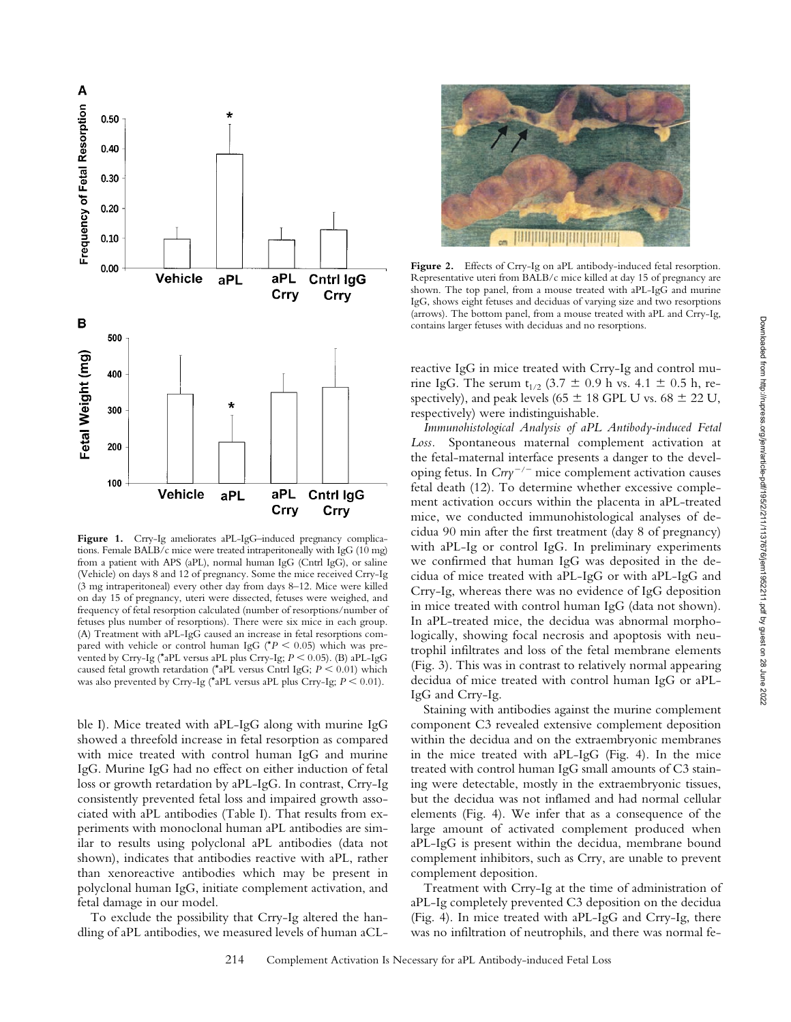

Figure 1. Crry-Ig ameliorates aPL-IgG-induced pregnancy complications. Female BALB/c mice were treated intraperitoneally with IgG (10 mg) from a patient with APS (aPL), normal human IgG (Cntrl IgG), or saline (Vehicle) on days 8 and 12 of pregnancy. Some the mice received Crry-Ig (3 mg intraperitoneal) every other day from days 8–12. Mice were killed on day 15 of pregnancy, uteri were dissected, fetuses were weighed, and frequency of fetal resorption calculated (number of resorptions/number of fetuses plus number of resorptions). There were six mice in each group. (A) Treatment with aPL-IgG caused an increase in fetal resorptions compared with vehicle or control human IgG ( $*P < 0.05$ ) which was prevented by Crry-Ig (\*aPL versus aPL plus Crry-Ig;  $P \le 0.05$ ). (B) aPL-IgG caused fetal growth retardation (\*aPL versus Cntrl IgG;  $P \le 0.01$ ) which was also prevented by Crry-Ig (\*aPL versus aPL plus Crry-Ig;  $P \le 0.01$ ).

ble I). Mice treated with aPL-IgG along with murine IgG showed a threefold increase in fetal resorption as compared with mice treated with control human IgG and murine IgG. Murine IgG had no effect on either induction of fetal loss or growth retardation by aPL-IgG. In contrast, Crry-Ig consistently prevented fetal loss and impaired growth associated with aPL antibodies (Table I). That results from experiments with monoclonal human aPL antibodies are similar to results using polyclonal aPL antibodies (data not shown), indicates that antibodies reactive with aPL, rather than xenoreactive antibodies which may be present in polyclonal human IgG, initiate complement activation, and fetal damage in our model.

To exclude the possibility that Crry-Ig altered the handling of aPL antibodies, we measured levels of human aCL-



Figure 2. Effects of Crry-Ig on aPL antibody-induced fetal resorption. Representative uteri from BALB/c mice killed at day 15 of pregnancy are shown. The top panel, from a mouse treated with aPL-IgG and murine IgG, shows eight fetuses and deciduas of varying size and two resorptions (arrows). The bottom panel, from a mouse treated with aPL and Crry-Ig, contains larger fetuses with deciduas and no resorptions.

reactive IgG in mice treated with Crry-Ig and control murine IgG. The serum  $t_{1/2}$  (3.7  $\pm$  0.9 h vs. 4.1  $\pm$  0.5 h, respectively), and peak levels (65  $\pm$  18 GPL U vs. 68  $\pm$  22 U, respectively) were indistinguishable.

*Immunohistological Analysis of aPL Antibody-induced Fetal Loss.* Spontaneous maternal complement activation at the fetal-maternal interface presents a danger to the developing fetus. In  $Crry^{-/-}$  mice complement activation causes fetal death (12). To determine whether excessive complement activation occurs within the placenta in aPL-treated mice, we conducted immunohistological analyses of decidua 90 min after the first treatment (day 8 of pregnancy) with aPL-Ig or control IgG. In preliminary experiments we confirmed that human IgG was deposited in the decidua of mice treated with aPL-IgG or with aPL-IgG and Crry-Ig, whereas there was no evidence of IgG deposition in mice treated with control human IgG (data not shown). In aPL-treated mice, the decidua was abnormal morphologically, showing focal necrosis and apoptosis with neutrophil infiltrates and loss of the fetal membrane elements (Fig. 3). This was in contrast to relatively normal appearing decidua of mice treated with control human IgG or aPL-IgG and Crry-Ig.

Staining with antibodies against the murine complement component C3 revealed extensive complement deposition within the decidua and on the extraembryonic membranes in the mice treated with aPL-IgG (Fig. 4). In the mice treated with control human IgG small amounts of C3 staining were detectable, mostly in the extraembryonic tissues, but the decidua was not inflamed and had normal cellular elements (Fig. 4). We infer that as a consequence of the large amount of activated complement produced when aPL-IgG is present within the decidua, membrane bound complement inhibitors, such as Crry, are unable to prevent complement deposition.

Treatment with Crry-Ig at the time of administration of aPL-Ig completely prevented C3 deposition on the decidua (Fig. 4). In mice treated with aPL-IgG and Crry-Ig, there was no infiltration of neutrophils, and there was normal feDownloaded from http://rupress.org/jem/article-pdf/195/2/211/1137676/jem1952211.pdf by guest on 28 June 2022

Downloaded from http://rupress.org/jem/article-pdf/195/211/1137676/jem1952211.pdf by guest on 28 June 2022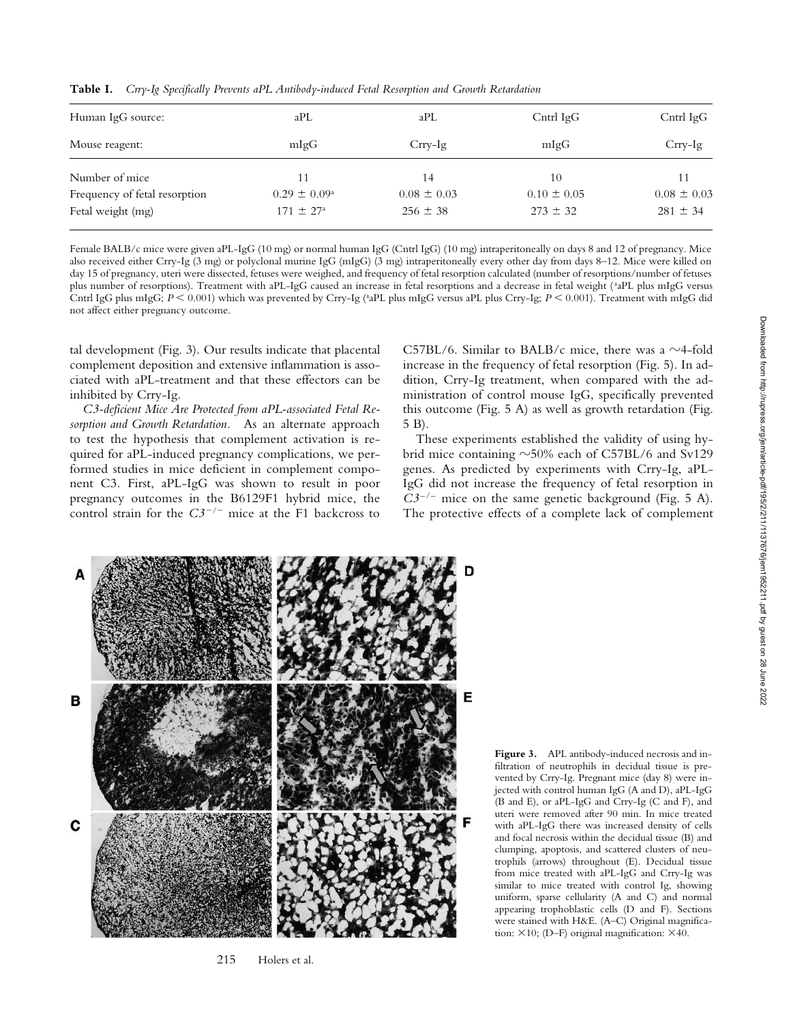**Table I.** *Crry-Ig Specifically Prevents aPL Antibody-induced Fetal Resorption and Growth Retardation*

| Human IgG source:             | aPL                     | aPL             | $C$ ntrl Ig $G$ | Cntrl $IgG$     |
|-------------------------------|-------------------------|-----------------|-----------------|-----------------|
| Mouse reagent:                | mlgG                    | $Crrv-Ig$       | mlgG            | $Crrv-Ig$       |
| Number of mice                | 11                      | 14              | 10              | 11              |
| Frequency of fetal resorption | $0.29 \pm 0.09^{\circ}$ | $0.08 \pm 0.03$ | $0.10 \pm 0.05$ | $0.08 \pm 0.03$ |
| Fetal weight (mg)             | $171 \pm 27^{\circ}$    | $256 \pm 38$    | $273 \pm 32$    | $281 \pm 34$    |

Female BALB/c mice were given aPL-IgG (10 mg) or normal human IgG (Cntrl IgG) (10 mg) intraperitoneally on days 8 and 12 of pregnancy. Mice also received either Crry-Ig (3 mg) or polyclonal murine IgG (mIgG) (3 mg) intraperitoneally every other day from days 8–12. Mice were killed on day 15 of pregnancy, uteri were dissected, fetuses were weighed, and frequency of fetal resorption calculated (number of resorptions/number of fetuses plus number of resorptions). Treatment with aPL-IgG caused an increase in fetal resorptions and a decrease in fetal weight (<sup>a</sup>aPL plus mIgG versus Cntrl IgG plus mIgG;  $P < 0.001$ ) which was prevented by Crry-Ig (<sup>a</sup>aPL plus mIgG versus aPL plus Crry-Ig;  $P < 0.001$ ). Treatment with mIgG did not affect either pregnancy outcome.

tal development (Fig. 3). Our results indicate that placental complement deposition and extensive inflammation is associated with aPL-treatment and that these effectors can be inhibited by Crry-Ig.

*C3-deficient Mice Are Protected from aPL-associated Fetal Resorption and Growth Retardation.* As an alternate approach to test the hypothesis that complement activation is required for aPL-induced pregnancy complications, we performed studies in mice deficient in complement component C3. First, aPL-IgG was shown to result in poor pregnancy outcomes in the B6129F1 hybrid mice, the control strain for the  $C3^{-/-}$  mice at the F1 backcross to

C57BL/6. Similar to BALB/c mice, there was a  $\sim$ 4-fold increase in the frequency of fetal resorption (Fig. 5). In addition, Crry-Ig treatment, when compared with the administration of control mouse IgG, specifically prevented this outcome (Fig. 5 A) as well as growth retardation (Fig. 5 B).

These experiments established the validity of using hybrid mice containing  $\sim$ 50% each of C57BL/6 and Sv129 genes. As predicted by experiments with Crry-Ig, aPL-IgG did not increase the frequency of fetal resorption in  $C3^{-/-}$  mice on the same genetic background (Fig. 5 A). The protective effects of a complete lack of complement



215 Holers et al.

**Figure 3.** APL antibody-induced necrosis and infiltration of neutrophils in decidual tissue is prevented by Crry-Ig. Pregnant mice (day 8) were injected with control human IgG (A and D), aPL-IgG (B and E), or aPL-IgG and Crry-Ig (C and F), and uteri were removed after 90 min. In mice treated with aPL-IgG there was increased density of cells and focal necrosis within the decidual tissue (B) and clumping, apoptosis, and scattered clusters of neutrophils (arrows) throughout (E). Decidual tissue from mice treated with aPL-IgG and Crry-Ig was similar to mice treated with control Ig, showing uniform, sparse cellularity (A and C) and normal appearing trophoblastic cells (D and F). Sections were stained with H&E. (A–C) Original magnification:  $\times 10$ ; (D–F) original magnification:  $\times 40$ .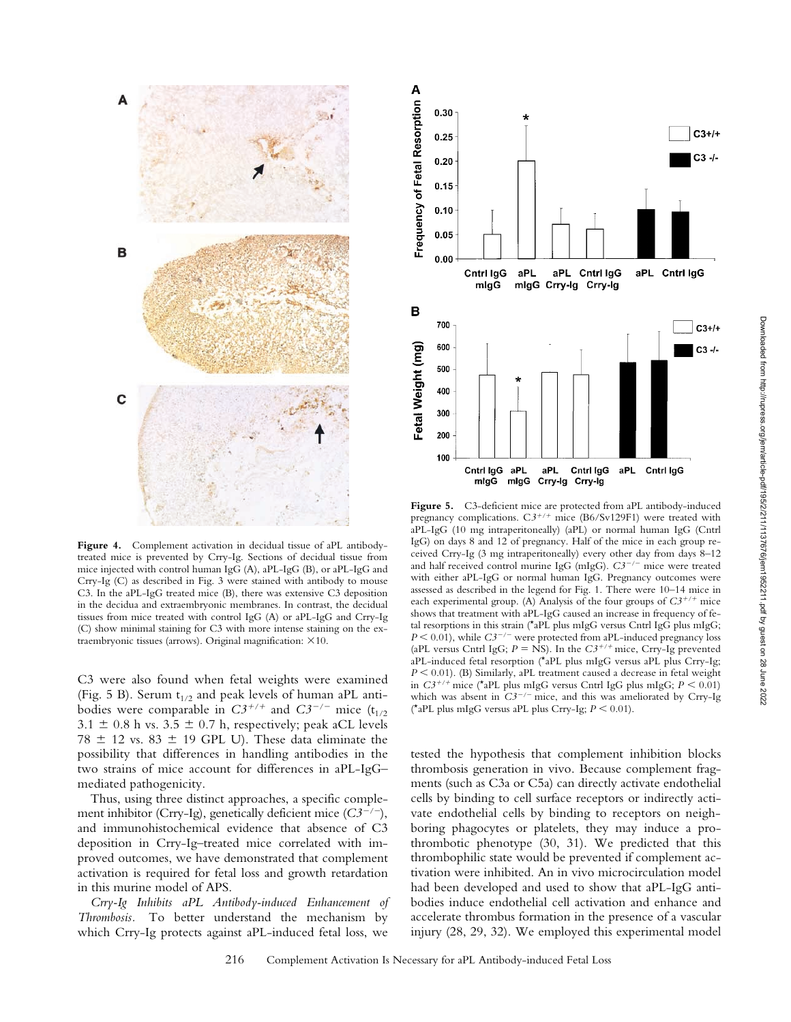

Figure 4. Complement activation in decidual tissue of aPL antibodytreated mice is prevented by Crry-Ig. Sections of decidual tissue from mice injected with control human IgG (A), aPL-IgG (B), or aPL-IgG and Crry-Ig (C) as described in Fig. 3 were stained with antibody to mouse C3. In the aPL-IgG treated mice (B), there was extensive C3 deposition in the decidua and extraembryonic membranes. In contrast, the decidual tissues from mice treated with control IgG (A) or aPL-IgG and Crry-Ig (C) show minimal staining for C3 with more intense staining on the extraembryonic tissues (arrows). Original magnification:  $\times 10$ .

C3 were also found when fetal weights were examined (Fig. 5 B). Serum  $t_{1/2}$  and peak levels of human aPL antibodies were comparable in  $C3^{+/+}$  and  $C3^{-/-}$  mice (t<sub>1/2</sub>)  $3.1 \pm 0.8$  h vs.  $3.5 \pm 0.7$  h, respectively; peak aCL levels 78  $\pm$  12 vs. 83  $\pm$  19 GPL U). These data eliminate the possibility that differences in handling antibodies in the two strains of mice account for differences in aPL-IgG– mediated pathogenicity.

Thus, using three distinct approaches, a specific complement inhibitor (Crry-Ig), genetically deficient mice  $(C3^{-/-})$ , and immunohistochemical evidence that absence of C3 deposition in Crry-Ig–treated mice correlated with improved outcomes, we have demonstrated that complement activation is required for fetal loss and growth retardation in this murine model of APS.

*Crry-Ig Inhibits aPL Antibody-induced Enhancement of Thrombosis.* To better understand the mechanism by which Crry-Ig protects against aPL-induced fetal loss, we



Figure 5. C3-deficient mice are protected from aPL antibody-induced pregnancy complications.  $C3^{+/+}$  mice (B6/Sv129F1) were treated with aPL-IgG (10 mg intraperitoneally) (aPL) or normal human IgG (Cntrl IgG) on days 8 and 12 of pregnancy. Half of the mice in each group received Crry-Ig (3 mg intraperitoneally) every other day from days 8–12 and half received control murine IgG (mIgG).  $C3^{-/-}$  mice were treated with either aPL-IgG or normal human IgG. Pregnancy outcomes were assessed as described in the legend for Fig. 1. There were 10–14 mice in each experimental group. (A) Analysis of the four groups of  $C3^{+/+}$  mice shows that treatment with aPL-IgG caused an increase in frequency of fetal resorptions in this strain (\*aPL plus mIgG versus Cntrl IgG plus mIgG;  $P \le 0.01$ , while  $C3^{-/-}$  were protected from aPL-induced pregnancy loss (aPL versus Cntrl IgG;  $P = NS$ ). In the  $C3^{+/+}$  mice, Crry-Ig prevented aPL-induced fetal resorption (\*aPL plus mIgG versus aPL plus Crry-Ig;  $P \leq 0.01$ . (B) Similarly, aPL treatment caused a decrease in fetal weight in  $C3^{+/+}$  mice (\*aPL plus mIgG versus Cntrl IgG plus mIgG;  $P \le 0.01$ ) which was absent in  $C3^{-/-}$  mice, and this was ameliorated by Crry-Ig (\*aPL plus mIgG versus aPL plus Crry-Ig;  $P \le 0.01$ ).

tested the hypothesis that complement inhibition blocks thrombosis generation in vivo. Because complement fragments (such as C3a or C5a) can directly activate endothelial cells by binding to cell surface receptors or indirectly activate endothelial cells by binding to receptors on neighboring phagocytes or platelets, they may induce a prothrombotic phenotype (30, 31). We predicted that this thrombophilic state would be prevented if complement activation were inhibited. An in vivo microcirculation model had been developed and used to show that aPL-IgG antibodies induce endothelial cell activation and enhance and accelerate thrombus formation in the presence of a vascular injury (28, 29, 32). We employed this experimental model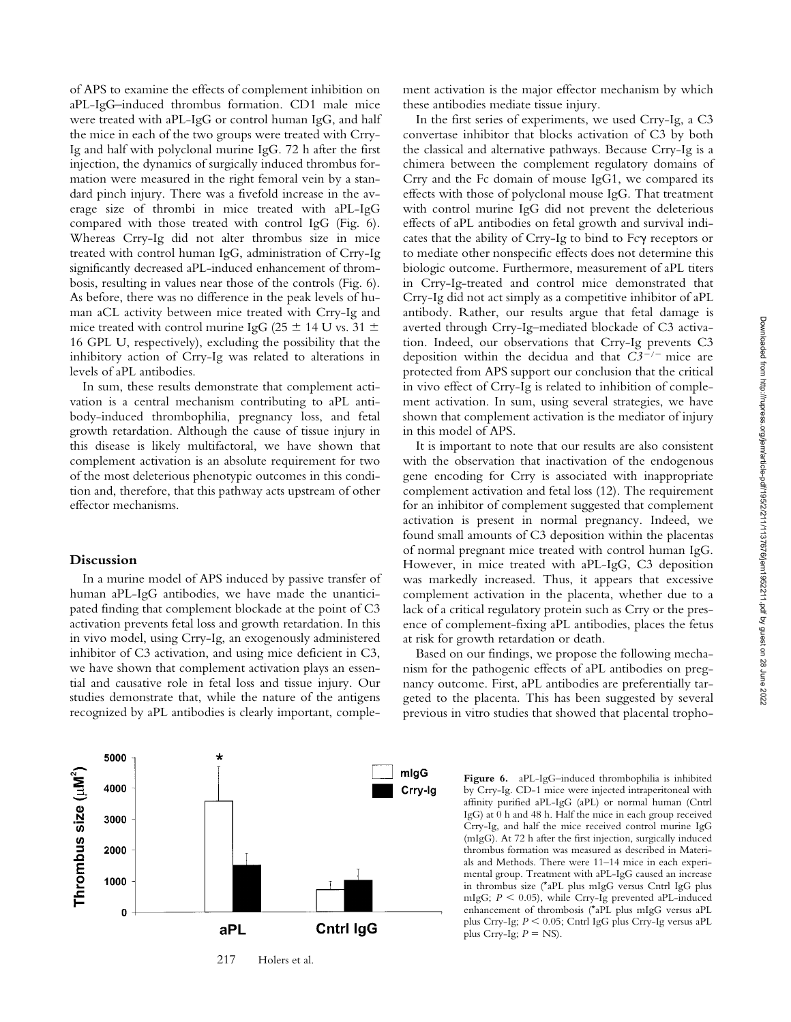of APS to examine the effects of complement inhibition on aPL-IgG–induced thrombus formation. CD1 male mice were treated with aPL-IgG or control human IgG, and half the mice in each of the two groups were treated with Crry-Ig and half with polyclonal murine IgG. 72 h after the first injection, the dynamics of surgically induced thrombus formation were measured in the right femoral vein by a standard pinch injury. There was a fivefold increase in the average size of thrombi in mice treated with aPL-IgG compared with those treated with control IgG (Fig. 6). Whereas Crry-Ig did not alter thrombus size in mice treated with control human IgG, administration of Crry-Ig significantly decreased aPL-induced enhancement of thrombosis, resulting in values near those of the controls (Fig. 6). As before, there was no difference in the peak levels of human aCL activity between mice treated with Crry-Ig and mice treated with control murine IgG (25  $\pm$  14 U vs. 31  $\pm$ 16 GPL U, respectively), excluding the possibility that the inhibitory action of Crry-Ig was related to alterations in levels of aPL antibodies.

In sum, these results demonstrate that complement activation is a central mechanism contributing to aPL antibody-induced thrombophilia, pregnancy loss, and fetal growth retardation. Although the cause of tissue injury in this disease is likely multifactoral, we have shown that complement activation is an absolute requirement for two of the most deleterious phenotypic outcomes in this condition and, therefore, that this pathway acts upstream of other effector mechanisms.

### **Discussion**

In a murine model of APS induced by passive transfer of human aPL-IgG antibodies, we have made the unanticipated finding that complement blockade at the point of C3 activation prevents fetal loss and growth retardation. In this in vivo model, using Crry-Ig, an exogenously administered inhibitor of C3 activation, and using mice deficient in C3, we have shown that complement activation plays an essential and causative role in fetal loss and tissue injury. Our studies demonstrate that, while the nature of the antigens recognized by aPL antibodies is clearly important, complement activation is the major effector mechanism by which these antibodies mediate tissue injury.

In the first series of experiments, we used Crry-Ig, a C3 convertase inhibitor that blocks activation of C3 by both the classical and alternative pathways. Because Crry-Ig is a chimera between the complement regulatory domains of Crry and the Fc domain of mouse IgG1, we compared its effects with those of polyclonal mouse IgG. That treatment with control murine IgG did not prevent the deleterious effects of aPL antibodies on fetal growth and survival indicates that the ability of Crry-Ig to bind to  $Fc\gamma$  receptors or to mediate other nonspecific effects does not determine this biologic outcome. Furthermore, measurement of aPL titers in Crry-Ig-treated and control mice demonstrated that Crry-Ig did not act simply as a competitive inhibitor of aPL antibody. Rather, our results argue that fetal damage is averted through Crry-Ig–mediated blockade of C3 activation. Indeed, our observations that Crry-Ig prevents C3 deposition within the decidua and that  $C3^{-/-}$  mice are protected from APS support our conclusion that the critical in vivo effect of Crry-Ig is related to inhibition of complement activation. In sum, using several strategies, we have shown that complement activation is the mediator of injury in this model of APS.

It is important to note that our results are also consistent with the observation that inactivation of the endogenous gene encoding for Crry is associated with inappropriate complement activation and fetal loss (12). The requirement for an inhibitor of complement suggested that complement activation is present in normal pregnancy. Indeed, we found small amounts of C3 deposition within the placentas of normal pregnant mice treated with control human IgG. However, in mice treated with aPL-IgG, C3 deposition was markedly increased. Thus, it appears that excessive complement activation in the placenta, whether due to a lack of a critical regulatory protein such as Crry or the presence of complement-fixing aPL antibodies, places the fetus at risk for growth retardation or death.

Based on our findings, we propose the following mechanism for the pathogenic effects of aPL antibodies on pregnancy outcome. First, aPL antibodies are preferentially targeted to the placenta. This has been suggested by several previous in vitro studies that showed that placental tropho-

plus Crry-Ig;  $P = NS$ ).



217 Holers et al.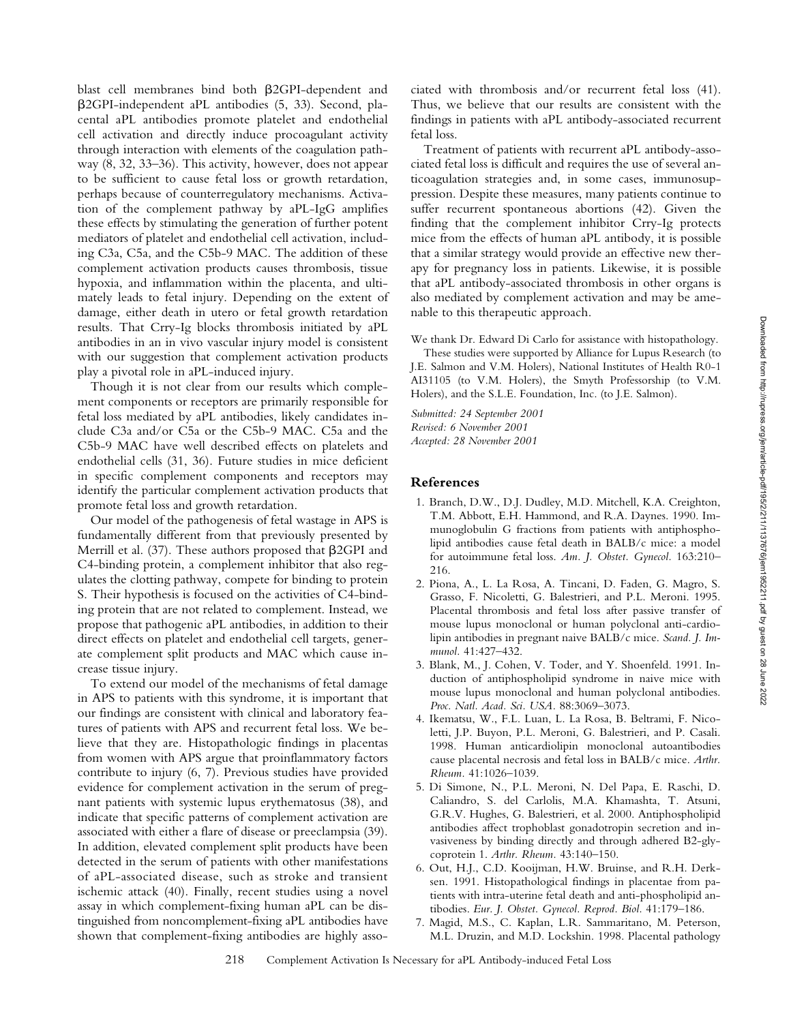blast cell membranes bind both  $\beta$ 2GPI-dependent and -2GPI-independent aPL antibodies (5, 33). Second, placental aPL antibodies promote platelet and endothelial cell activation and directly induce procoagulant activity through interaction with elements of the coagulation pathway (8, 32, 33–36). This activity, however, does not appear to be sufficient to cause fetal loss or growth retardation, perhaps because of counterregulatory mechanisms. Activation of the complement pathway by aPL-IgG amplifies these effects by stimulating the generation of further potent mediators of platelet and endothelial cell activation, including C3a, C5a, and the C5b-9 MAC. The addition of these complement activation products causes thrombosis, tissue hypoxia, and inflammation within the placenta, and ultimately leads to fetal injury. Depending on the extent of damage, either death in utero or fetal growth retardation results. That Crry-Ig blocks thrombosis initiated by aPL antibodies in an in vivo vascular injury model is consistent with our suggestion that complement activation products play a pivotal role in aPL-induced injury.

Though it is not clear from our results which complement components or receptors are primarily responsible for fetal loss mediated by aPL antibodies, likely candidates include C3a and/or C5a or the C5b-9 MAC. C5a and the C5b-9 MAC have well described effects on platelets and endothelial cells (31, 36). Future studies in mice deficient in specific complement components and receptors may identify the particular complement activation products that promote fetal loss and growth retardation.

Our model of the pathogenesis of fetal wastage in APS is fundamentally different from that previously presented by Merrill et al.  $(37)$ . These authors proposed that  $\beta$ 2GPI and C4-binding protein, a complement inhibitor that also regulates the clotting pathway, compete for binding to protein S. Their hypothesis is focused on the activities of C4-binding protein that are not related to complement. Instead, we propose that pathogenic aPL antibodies, in addition to their direct effects on platelet and endothelial cell targets, generate complement split products and MAC which cause increase tissue injury.

To extend our model of the mechanisms of fetal damage in APS to patients with this syndrome, it is important that our findings are consistent with clinical and laboratory features of patients with APS and recurrent fetal loss. We believe that they are. Histopathologic findings in placentas from women with APS argue that proinflammatory factors contribute to injury (6, 7). Previous studies have provided evidence for complement activation in the serum of pregnant patients with systemic lupus erythematosus (38), and indicate that specific patterns of complement activation are associated with either a flare of disease or preeclampsia (39). In addition, elevated complement split products have been detected in the serum of patients with other manifestations of aPL-associated disease, such as stroke and transient ischemic attack (40). Finally, recent studies using a novel assay in which complement-fixing human aPL can be distinguished from noncomplement-fixing aPL antibodies have shown that complement-fixing antibodies are highly associated with thrombosis and/or recurrent fetal loss (41). Thus, we believe that our results are consistent with the findings in patients with aPL antibody-associated recurrent fetal loss.

Treatment of patients with recurrent aPL antibody-associated fetal loss is difficult and requires the use of several anticoagulation strategies and, in some cases, immunosuppression. Despite these measures, many patients continue to suffer recurrent spontaneous abortions (42). Given the finding that the complement inhibitor Crry-Ig protects mice from the effects of human aPL antibody, it is possible that a similar strategy would provide an effective new therapy for pregnancy loss in patients. Likewise, it is possible that aPL antibody-associated thrombosis in other organs is also mediated by complement activation and may be amenable to this therapeutic approach.

We thank Dr. Edward Di Carlo for assistance with histopathology.

These studies were supported by Alliance for Lupus Research (to J.E. Salmon and V.M. Holers), National Institutes of Health R0-1 AI31105 (to V.M. Holers), the Smyth Professorship (to V.M. Holers), and the S.L.E. Foundation, Inc. (to J.E. Salmon).

*Submitted: 24 September 2001 Revised: 6 November 2001 Accepted: 28 November 2001*

# **References**

- 1. Branch, D.W., D.J. Dudley, M.D. Mitchell, K.A. Creighton, T.M. Abbott, E.H. Hammond, and R.A. Daynes. 1990. Immunoglobulin G fractions from patients with antiphospholipid antibodies cause fetal death in BALB/c mice: a model for autoimmune fetal loss. *Am. J. Obstet. Gynecol.* 163:210– 216.
- 2. Piona, A., L. La Rosa, A. Tincani, D. Faden, G. Magro, S. Grasso, F. Nicoletti, G. Balestrieri, and P.L. Meroni. 1995. Placental thrombosis and fetal loss after passive transfer of mouse lupus monoclonal or human polyclonal anti-cardiolipin antibodies in pregnant naive BALB/c mice. *Scand. J. Immunol.* 41:427–432.
- 3. Blank, M., J. Cohen, V. Toder, and Y. Shoenfeld. 1991. Induction of antiphospholipid syndrome in naive mice with mouse lupus monoclonal and human polyclonal antibodies. *Proc. Natl. Acad. Sci. USA.* 88:3069–3073.
- 4. Ikematsu, W., F.L. Luan, L. La Rosa, B. Beltrami, F. Nicoletti, J.P. Buyon, P.L. Meroni, G. Balestrieri, and P. Casali. 1998. Human anticardiolipin monoclonal autoantibodies cause placental necrosis and fetal loss in BALB/c mice. *Arthr. Rheum.* 41:1026–1039.
- 5. Di Simone, N., P.L. Meroni, N. Del Papa, E. Raschi, D. Caliandro, S. del Carlolis, M.A. Khamashta, T. Atsuni, G.R.V. Hughes, G. Balestrieri, et al. 2000. Antiphospholipid antibodies affect trophoblast gonadotropin secretion and invasiveness by binding directly and through adhered B2-glycoprotein 1. *Arthr. Rheum.* 43:140–150.
- 6. Out, H.J., C.D. Kooijman, H.W. Bruinse, and R.H. Derksen. 1991. Histopathological findings in placentae from patients with intra-uterine fetal death and anti-phospholipid antibodies. *Eur. J. Obstet. Gynecol. Reprod. Biol.* 41:179–186.
- 7. Magid, M.S., C. Kaplan, L.R. Sammaritano, M. Peterson, M.L. Druzin, and M.D. Lockshin. 1998. Placental pathology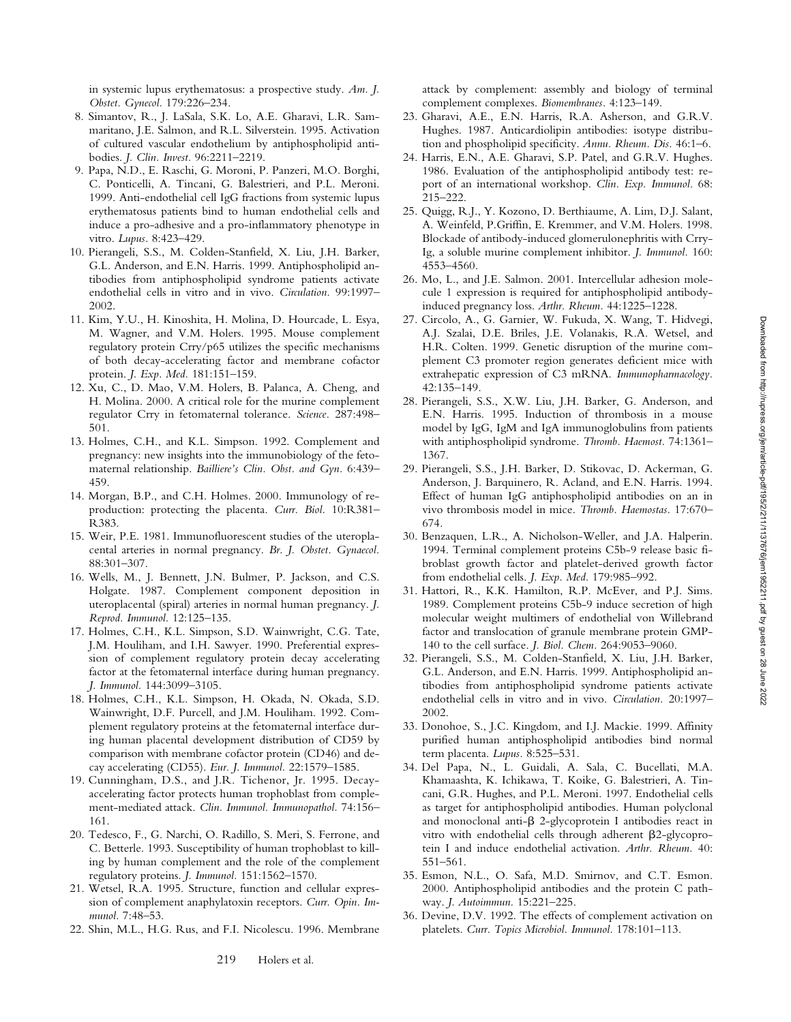in systemic lupus erythematosus: a prospective study. *Am. J. Obstet. Gynecol.* 179:226–234.

- 8. Simantov, R., J. LaSala, S.K. Lo, A.E. Gharavi, L.R. Sammaritano, J.E. Salmon, and R.L. Silverstein. 1995. Activation of cultured vascular endothelium by antiphospholipid antibodies. *J. Clin. Invest.* 96:2211–2219.
- 9. Papa, N.D., E. Raschi, G. Moroni, P. Panzeri, M.O. Borghi, C. Ponticelli, A. Tincani, G. Balestrieri, and P.L. Meroni. 1999. Anti-endothelial cell IgG fractions from systemic lupus erythematosus patients bind to human endothelial cells and induce a pro-adhesive and a pro-inflammatory phenotype in vitro. *Lupus.* 8:423–429.
- 10. Pierangeli, S.S., M. Colden-Stanfield, X. Liu, J.H. Barker, G.L. Anderson, and E.N. Harris. 1999. Antiphospholipid antibodies from antiphospholipid syndrome patients activate endothelial cells in vitro and in vivo. *Circulation.* 99:1997– 2002.
- 11. Kim, Y.U., H. Kinoshita, H. Molina, D. Hourcade, L. Esya, M. Wagner, and V.M. Holers. 1995. Mouse complement regulatory protein Crry/p65 utilizes the specific mechanisms of both decay-accelerating factor and membrane cofactor protein. *J. Exp. Med.* 181:151–159.
- 12. Xu, C., D. Mao, V.M. Holers, B. Palanca, A. Cheng, and H. Molina. 2000. A critical role for the murine complement regulator Crry in fetomaternal tolerance. *Science.* 287:498– 501.
- 13. Holmes, C.H., and K.L. Simpson. 1992. Complement and pregnancy: new insights into the immunobiology of the fetomaternal relationship. *Bailliere's Clin. Obst. and Gyn.* 6:439– 459.
- 14. Morgan, B.P., and C.H. Holmes. 2000. Immunology of reproduction: protecting the placenta. *Curr. Biol.* 10:R381– R383.
- 15. Weir, P.E. 1981. Immunofluorescent studies of the uteroplacental arteries in normal pregnancy. *Br. J. Obstet. Gynaecol.* 88:301–307.
- 16. Wells, M., J. Bennett, J.N. Bulmer, P. Jackson, and C.S. Holgate. 1987. Complement component deposition in uteroplacental (spiral) arteries in normal human pregnancy. *J. Reprod. Immunol.* 12:125–135.
- 17. Holmes, C.H., K.L. Simpson, S.D. Wainwright, C.G. Tate, J.M. Houliham, and I.H. Sawyer. 1990. Preferential expression of complement regulatory protein decay accelerating factor at the fetomaternal interface during human pregnancy. *J. Immunol.* 144:3099–3105.
- 18. Holmes, C.H., K.L. Simpson, H. Okada, N. Okada, S.D. Wainwright, D.F. Purcell, and J.M. Houliham. 1992. Complement regulatory proteins at the fetomaternal interface during human placental development distribution of CD59 by comparison with membrane cofactor protein (CD46) and decay accelerating (CD55). *Eur. J. Immunol.* 22:1579–1585.
- 19. Cunningham, D.S., and J.R. Tichenor, Jr. 1995. Decayaccelerating factor protects human trophoblast from complement-mediated attack. *Clin. Immunol. Immunopathol.* 74:156– 161.
- 20. Tedesco, F., G. Narchi, O. Radillo, S. Meri, S. Ferrone, and C. Betterle. 1993. Susceptibility of human trophoblast to killing by human complement and the role of the complement regulatory proteins. *J. Immunol.* 151:1562–1570.
- 21. Wetsel, R.A. 1995. Structure, function and cellular expression of complement anaphylatoxin receptors. *Curr. Opin. Immunol.* 7:48–53.
- 22. Shin, M.L., H.G. Rus, and F.I. Nicolescu. 1996. Membrane

attack by complement: assembly and biology of terminal complement complexes. *Biomembranes.* 4:123–149.

- 23. Gharavi, A.E., E.N. Harris, R.A. Asherson, and G.R.V. Hughes. 1987. Anticardiolipin antibodies: isotype distribution and phospholipid specificity. *Annu. Rheum. Dis.* 46:1–6.
- 24. Harris, E.N., A.E. Gharavi, S.P. Patel, and G.R.V. Hughes. 1986. Evaluation of the antiphospholipid antibody test: report of an international workshop. *Clin. Exp. Immunol.* 68: 215–222.
- 25. Quigg, R.J., Y. Kozono, D. Berthiaume, A. Lim, D.J. Salant, A. Weinfeld, P.Griffin, E. Kremmer, and V.M. Holers. 1998. Blockade of antibody-induced glomerulonephritis with Crry-Ig, a soluble murine complement inhibitor. *J. Immunol.* 160: 4553–4560.
- 26. Mo, L., and J.E. Salmon. 2001. Intercellular adhesion molecule 1 expression is required for antiphospholipid antibodyinduced pregnancy loss. *Arthr. Rheum.* 44:1225–1228.
- 27. Circolo, A., G. Garnier, W. Fukuda, X. Wang, T. Hidvegi, A.J. Szalai, D.E. Briles, J.E. Volanakis, R.A. Wetsel, and H.R. Colten. 1999. Genetic disruption of the murine complement C3 promoter region generates deficient mice with extrahepatic expression of C3 mRNA. *Immunopharmacology.* 42:135–149.
- 28. Pierangeli, S.S., X.W. Liu, J.H. Barker, G. Anderson, and E.N. Harris. 1995. Induction of thrombosis in a mouse model by IgG, IgM and IgA immunoglobulins from patients with antiphospholipid syndrome. *Thromb. Haemost.* 74:1361– 1367.
- 29. Pierangeli, S.S., J.H. Barker, D. Stikovac, D. Ackerman, G. Anderson, J. Barquinero, R. Acland, and E.N. Harris. 1994. Effect of human IgG antiphospholipid antibodies on an in vivo thrombosis model in mice. *Thromb. Haemostas.* 17:670– 674.
- 30. Benzaquen, L.R., A. Nicholson-Weller, and J.A. Halperin. 1994. Terminal complement proteins C5b-9 release basic fibroblast growth factor and platelet-derived growth factor from endothelial cells. *J. Exp. Med.* 179:985–992.
- 31. Hattori, R., K.K. Hamilton, R.P. McEver, and P.J. Sims. 1989. Complement proteins C5b-9 induce secretion of high molecular weight multimers of endothelial von Willebrand factor and translocation of granule membrane protein GMP-140 to the cell surface. *J. Biol. Chem.* 264:9053–9060.
- 32. Pierangeli, S.S., M. Colden-Stanfield, X. Liu, J.H. Barker, G.L. Anderson, and E.N. Harris. 1999. Antiphospholipid antibodies from antiphospholipid syndrome patients activate endothelial cells in vitro and in vivo. *Circulation.* 20:1997– 2002.
- 33. Donohoe, S., J.C. Kingdom, and I.J. Mackie. 1999. Affinity purified human antiphospholipid antibodies bind normal term placenta. *Lupus.* 8:525–531.
- 34. Del Papa, N., L. Guidali, A. Sala, C. Bucellati, M.A. Khamaashta, K. Ichikawa, T. Koike, G. Balestrieri, A. Tincani, G.R. Hughes, and P.L. Meroni. 1997. Endothelial cells as target for antiphospholipid antibodies. Human polyclonal and monoclonal anti- $\beta$  2-glycoprotein I antibodies react in vitro with endothelial cells through adherent  $\beta$ 2-glycoprotein I and induce endothelial activation. *Arthr. Rheum.* 40: 551–561.
- 35. Esmon, N.L., O. Safa, M.D. Smirnov, and C.T. Esmon. 2000. Antiphospholipid antibodies and the protein C pathway. *J. Autoimmun.* 15:221–225.
- 36. Devine, D.V. 1992. The effects of complement activation on platelets. *Curr. Topics Microbiol. Immunol.* 178:101–113.